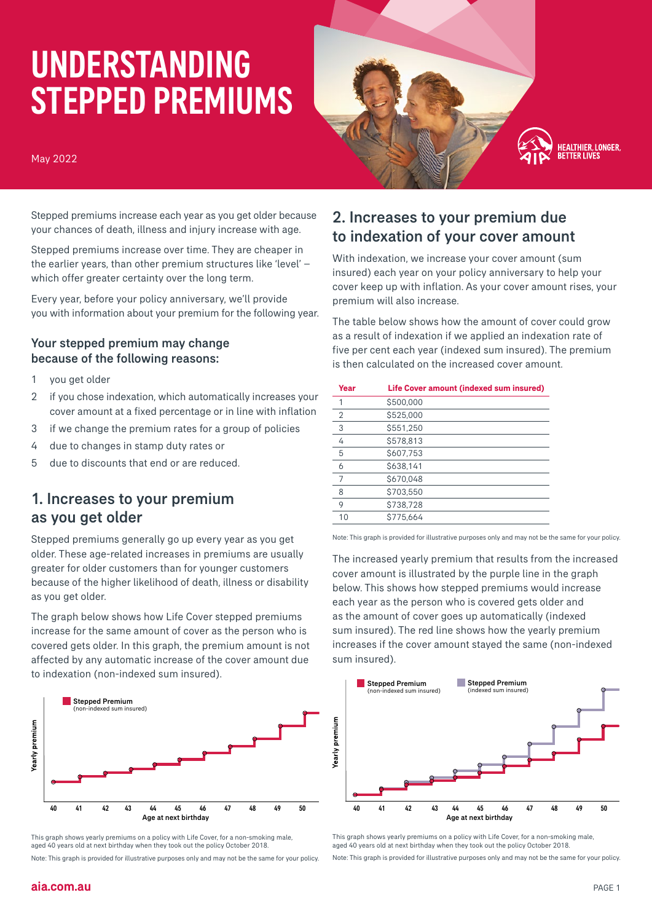# UNDERSTANDING STEPPED PREMIUMS

#### May 2022



Stepped premiums increase each year as you get older because your chances of death, illness and injury increase with age.

Stepped premiums increase over time. They are cheaper in the earlier years, than other premium structures like 'level' – which offer greater certainty over the long term.

Every year, before your policy anniversary, we'll provide you with information about your premium for the following year.

#### Your stepped premium may change because of the following reasons:

- 1 you get older
- 2 if you chose indexation, which automatically increases your cover amount at a fixed percentage or in line with inflation
- 3 if we change the premium rates for a group of policies
- 4 due to changes in stamp duty rates or
- 5 due to discounts that end or are reduced.

#### 1. Increases to your premium as you get older

Stepped premiums generally go up every year as you get older. These age-related increases in premiums are usually greater for older customers than for younger customers because of the higher likelihood of death, illness or disability as you get older.

The graph below shows how Life Cover stepped premiums increase for the same amount of cover as the person who is covered gets older. In this graph, the premium amount is not affected by any automatic increase of the cover amount due to indexation (non-indexed sum insured).



This graph shows yearly premiums on a policy with Life Cover, for a non-smoking male, aged 40 years old at next birthday when they took out the policy October 2018.

Note: This graph is provided for illustrative purposes only and may not be the same for your policy.

#### 2. Increases to your premium due to indexation of your cover amount

With indexation, we increase your cover amount (sum insured) each year on your policy anniversary to help your cover keep up with inflation. As your cover amount rises, your premium will also increase.

The table below shows how the amount of cover could grow as a result of indexation if we applied an indexation rate of five per cent each year (indexed sum insured). The premium is then calculated on the increased cover amount.

| Year | Life Cover amount (indexed sum insured) |
|------|-----------------------------------------|
|      | \$500,000                               |
| 2    | \$525,000                               |
| 3    | \$551,250                               |
| 4    | \$578,813                               |
| 5    | \$607,753                               |
| 6    | \$638,141                               |
|      | \$670.048                               |
| 8    | \$703,550                               |
| 9    | \$738,728                               |
| 10   | \$775,664                               |

Note: This graph is provided for illustrative purposes only and may not be the same for your policy.

The increased yearly premium that results from the increased cover amount is illustrated by the purple line in the graph below. This shows how stepped premiums would increase each year as the person who is covered gets older and as the amount of cover goes up automatically (indexed sum insured). The red line shows how the yearly premium increases if the cover amount stayed the same (non-indexed sum insured).



This graph shows yearly premiums on a policy with Life Cover, for a non-smoking male, aged 40 years old at next birthday when they took out the policy October 2018.

Note: This graph is provided for illustrative purposes only and may not be the same for your policy.